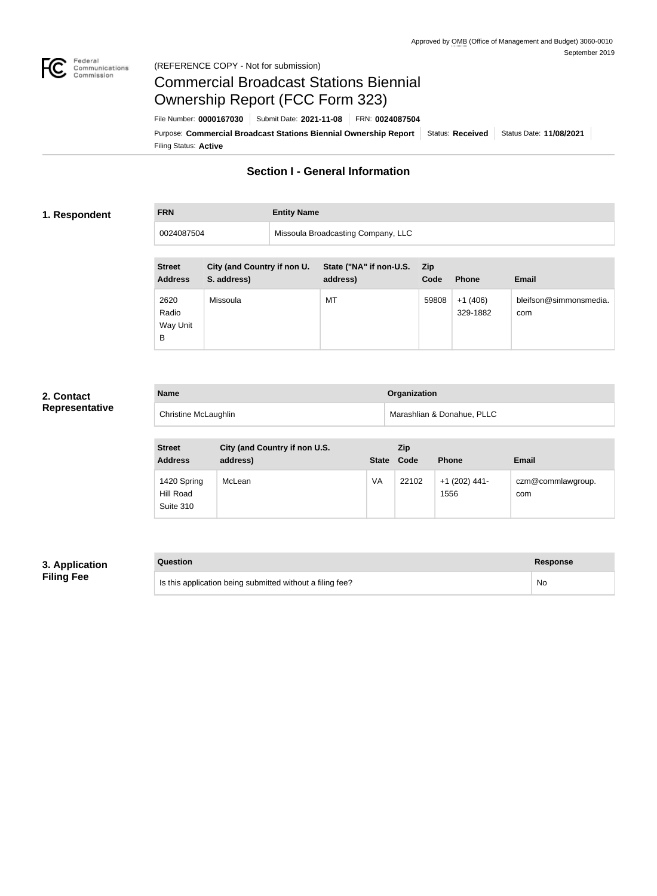

### Federal<br>Communications<br>Commission (REFERENCE COPY - Not for submission)

# Commercial Broadcast Stations Biennial Ownership Report (FCC Form 323)

Filing Status: **Active** Purpose: Commercial Broadcast Stations Biennial Ownership Report Status: Received Status Date: 11/08/2021 File Number: **0000167030** Submit Date: **2021-11-08** FRN: **0024087504**

# **Section I - General Information**

# **1. Respondent**

# **FRN Entity Name**

| Missoula Broadcasting Company, LLC<br>0024087504 |  |  |
|--------------------------------------------------|--|--|
|                                                  |  |  |

| <b>Street</b><br><b>Address</b> | City (and Country if non U.<br>S. address) | State ("NA" if non-U.S.<br>address) | <b>Zip</b><br>Code | <b>Phone</b>          | <b>Email</b>                  |
|---------------------------------|--------------------------------------------|-------------------------------------|--------------------|-----------------------|-------------------------------|
| 2620<br>Radio<br>Way Unit<br>B  | Missoula                                   | MT                                  | 59808              | $+1(406)$<br>329-1882 | bleifson@simmonsmedia.<br>com |

# **2. Contact Representative**

| <b>Name</b>                 | Organization               |
|-----------------------------|----------------------------|
| <b>Christine McLaughlin</b> | Marashlian & Donahue, PLLC |

| <b>Street</b><br><b>Address</b>       | City (and Country if non U.S.<br>address) | <b>State</b> | Zip<br>Code | <b>Phone</b>            | <b>Email</b>             |
|---------------------------------------|-------------------------------------------|--------------|-------------|-------------------------|--------------------------|
| 1420 Spring<br>Hill Road<br>Suite 310 | McLean                                    | VA           | 22102       | $+1$ (202) 441-<br>1556 | czm@commlawgroup.<br>com |

# **3. Application Filing Fee**

| Question                                                  | Response |
|-----------------------------------------------------------|----------|
| Is this application being submitted without a filing fee? | No       |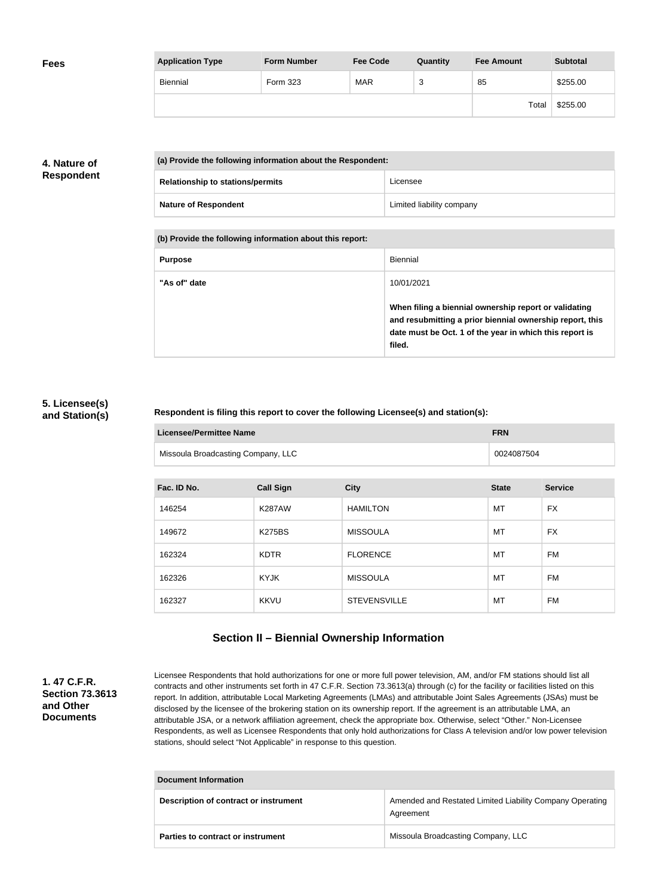| <b>Fees</b> | <b>Application Type</b> | <b>Form Number</b> | <b>Fee Code</b> | Quantity | <b>Fee Amount</b> | <b>Subtotal</b> |
|-------------|-------------------------|--------------------|-----------------|----------|-------------------|-----------------|
|             | Biennial                | Form 323           | <b>MAR</b>      | ◠<br>ັ   | 85                | \$255.00        |
|             |                         |                    |                 |          | Total             | \$255.00        |

# **4. Nature of Respondent**

| (a) Provide the following information about the Respondent: |                           |  |  |
|-------------------------------------------------------------|---------------------------|--|--|
| <b>Relationship to stations/permits</b>                     | Licensee                  |  |  |
| <b>Nature of Respondent</b>                                 | Limited liability company |  |  |

**(b) Provide the following information about this report:**

| <b>Purpose</b> | Biennial                                                                                                                                                                               |
|----------------|----------------------------------------------------------------------------------------------------------------------------------------------------------------------------------------|
| "As of" date   | 10/01/2021                                                                                                                                                                             |
|                | When filing a biennial ownership report or validating<br>and resubmitting a prior biennial ownership report, this<br>date must be Oct. 1 of the year in which this report is<br>filed. |

### **5. Licensee(s) and Station(s)**

### **Respondent is filing this report to cover the following Licensee(s) and station(s):**

| Licensee/Permittee Name            | <b>FRN</b> |
|------------------------------------|------------|
| Missoula Broadcasting Company, LLC | 0024087504 |

| Fac. ID No. | <b>Call Sign</b> | <b>City</b>         | <b>State</b> | <b>Service</b> |
|-------------|------------------|---------------------|--------------|----------------|
| 146254      | <b>K287AW</b>    | <b>HAMILTON</b>     | MT           | <b>FX</b>      |
| 149672      | <b>K275BS</b>    | <b>MISSOULA</b>     | MT           | <b>FX</b>      |
| 162324      | <b>KDTR</b>      | <b>FLORENCE</b>     | MT           | <b>FM</b>      |
| 162326      | <b>KYJK</b>      | <b>MISSOULA</b>     | MT           | FM             |
| 162327      | <b>KKVU</b>      | <b>STEVENSVILLE</b> | MT           | FM             |

# **Section II – Biennial Ownership Information**

### **1. 47 C.F.R. Section 73.3613 and Other Documents**

Licensee Respondents that hold authorizations for one or more full power television, AM, and/or FM stations should list all contracts and other instruments set forth in 47 C.F.R. Section 73.3613(a) through (c) for the facility or facilities listed on this report. In addition, attributable Local Marketing Agreements (LMAs) and attributable Joint Sales Agreements (JSAs) must be disclosed by the licensee of the brokering station on its ownership report. If the agreement is an attributable LMA, an attributable JSA, or a network affiliation agreement, check the appropriate box. Otherwise, select "Other." Non-Licensee Respondents, as well as Licensee Respondents that only hold authorizations for Class A television and/or low power television stations, should select "Not Applicable" in response to this question.

| <b>Document Information</b>           |                                                                       |  |
|---------------------------------------|-----------------------------------------------------------------------|--|
| Description of contract or instrument | Amended and Restated Limited Liability Company Operating<br>Agreement |  |
| Parties to contract or instrument     | Missoula Broadcasting Company, LLC                                    |  |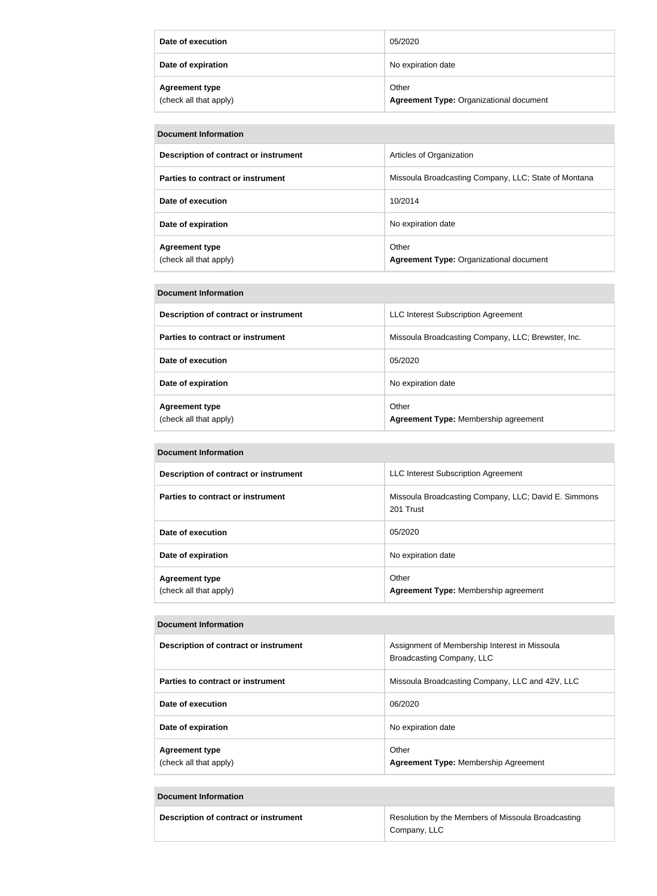| Date of execution                               | 05/2020                                                 |
|-------------------------------------------------|---------------------------------------------------------|
| Date of expiration                              | No expiration date                                      |
| <b>Agreement type</b><br>(check all that apply) | Other<br><b>Agreement Type: Organizational document</b> |

| Document Information                            |                                                         |  |  |
|-------------------------------------------------|---------------------------------------------------------|--|--|
| Description of contract or instrument           | Articles of Organization                                |  |  |
| Parties to contract or instrument               | Missoula Broadcasting Company, LLC; State of Montana    |  |  |
| Date of execution                               | 10/2014                                                 |  |  |
| Date of expiration                              | No expiration date                                      |  |  |
| <b>Agreement type</b><br>(check all that apply) | Other<br><b>Agreement Type: Organizational document</b> |  |  |

#### **Document Information**

| Description of contract or instrument           | LLC Interest Subscription Agreement                  |
|-------------------------------------------------|------------------------------------------------------|
| Parties to contract or instrument               | Missoula Broadcasting Company, LLC; Brewster, Inc.   |
| Date of execution                               | 05/2020                                              |
| Date of expiration                              | No expiration date                                   |
| <b>Agreement type</b><br>(check all that apply) | Other<br><b>Agreement Type: Membership agreement</b> |

#### **Document Information**

| Description of contract or instrument           | <b>LLC Interest Subscription Agreement</b>                        |
|-------------------------------------------------|-------------------------------------------------------------------|
| Parties to contract or instrument               | Missoula Broadcasting Company, LLC; David E. Simmons<br>201 Trust |
| Date of execution                               | 05/2020                                                           |
| Date of expiration                              | No expiration date                                                |
| <b>Agreement type</b><br>(check all that apply) | Other<br>Agreement Type: Membership agreement                     |

#### **Document Information**

| Description of contract or instrument           | Assignment of Membership Interest in Missoula<br>Broadcasting Company, LLC |
|-------------------------------------------------|----------------------------------------------------------------------------|
| Parties to contract or instrument               | Missoula Broadcasting Company, LLC and 42V, LLC                            |
| Date of execution                               | 06/2020                                                                    |
| Date of expiration                              | No expiration date                                                         |
| <b>Agreement type</b><br>(check all that apply) | Other<br><b>Agreement Type: Membership Agreement</b>                       |

### **Document Information**

| Description of contract or instrument | Resolution by the Members of Missoula Broadcasting |  |
|---------------------------------------|----------------------------------------------------|--|
|                                       | Company, LLC                                       |  |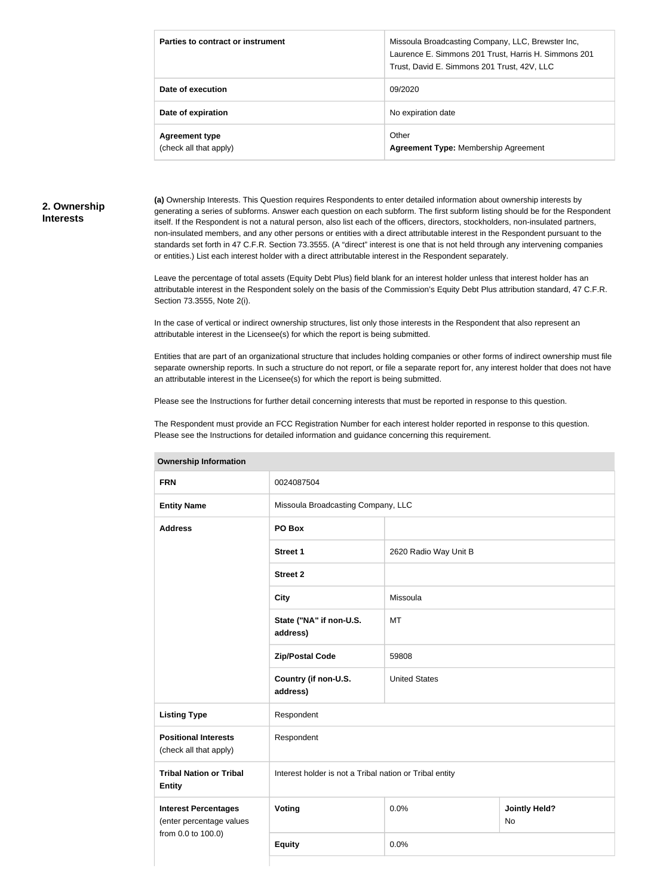| Parties to contract or instrument               | Missoula Broadcasting Company, LLC, Brewster Inc,<br>Laurence E. Simmons 201 Trust, Harris H. Simmons 201<br>Trust, David E. Simmons 201 Trust, 42V, LLC |
|-------------------------------------------------|----------------------------------------------------------------------------------------------------------------------------------------------------------|
| Date of execution                               | 09/2020                                                                                                                                                  |
| Date of expiration                              | No expiration date                                                                                                                                       |
| <b>Agreement type</b><br>(check all that apply) | Other<br><b>Agreement Type: Membership Agreement</b>                                                                                                     |

### **2. Ownership Interests**

**(a)** Ownership Interests. This Question requires Respondents to enter detailed information about ownership interests by generating a series of subforms. Answer each question on each subform. The first subform listing should be for the Respondent itself. If the Respondent is not a natural person, also list each of the officers, directors, stockholders, non-insulated partners, non-insulated members, and any other persons or entities with a direct attributable interest in the Respondent pursuant to the standards set forth in 47 C.F.R. Section 73.3555. (A "direct" interest is one that is not held through any intervening companies or entities.) List each interest holder with a direct attributable interest in the Respondent separately.

Leave the percentage of total assets (Equity Debt Plus) field blank for an interest holder unless that interest holder has an attributable interest in the Respondent solely on the basis of the Commission's Equity Debt Plus attribution standard, 47 C.F.R. Section 73.3555, Note 2(i).

In the case of vertical or indirect ownership structures, list only those interests in the Respondent that also represent an attributable interest in the Licensee(s) for which the report is being submitted.

Entities that are part of an organizational structure that includes holding companies or other forms of indirect ownership must file separate ownership reports. In such a structure do not report, or file a separate report for, any interest holder that does not have an attributable interest in the Licensee(s) for which the report is being submitted.

Please see the Instructions for further detail concerning interests that must be reported in response to this question.

The Respondent must provide an FCC Registration Number for each interest holder reported in response to this question. Please see the Instructions for detailed information and guidance concerning this requirement.

| Uwil <del>c</del> i ship information                                          |                                                         |                       |                            |
|-------------------------------------------------------------------------------|---------------------------------------------------------|-----------------------|----------------------------|
| <b>FRN</b>                                                                    | 0024087504                                              |                       |                            |
| <b>Entity Name</b>                                                            | Missoula Broadcasting Company, LLC                      |                       |                            |
| <b>Address</b>                                                                | PO Box                                                  |                       |                            |
|                                                                               | <b>Street 1</b>                                         | 2620 Radio Way Unit B |                            |
|                                                                               | <b>Street 2</b>                                         |                       |                            |
|                                                                               | <b>City</b>                                             | Missoula              |                            |
|                                                                               | State ("NA" if non-U.S.<br>address)                     | MT                    |                            |
|                                                                               | <b>Zip/Postal Code</b>                                  | 59808                 |                            |
|                                                                               | Country (if non-U.S.<br>address)                        | <b>United States</b>  |                            |
| <b>Listing Type</b>                                                           | Respondent                                              |                       |                            |
| <b>Positional Interests</b><br>(check all that apply)                         | Respondent                                              |                       |                            |
| <b>Tribal Nation or Tribal</b><br><b>Entity</b>                               | Interest holder is not a Tribal nation or Tribal entity |                       |                            |
| <b>Interest Percentages</b><br>(enter percentage values<br>from 0.0 to 100.0) | Voting                                                  | 0.0%                  | <b>Jointly Held?</b><br>No |
|                                                                               | <b>Equity</b>                                           | 0.0%                  |                            |
|                                                                               |                                                         |                       |                            |

**Ownership Information**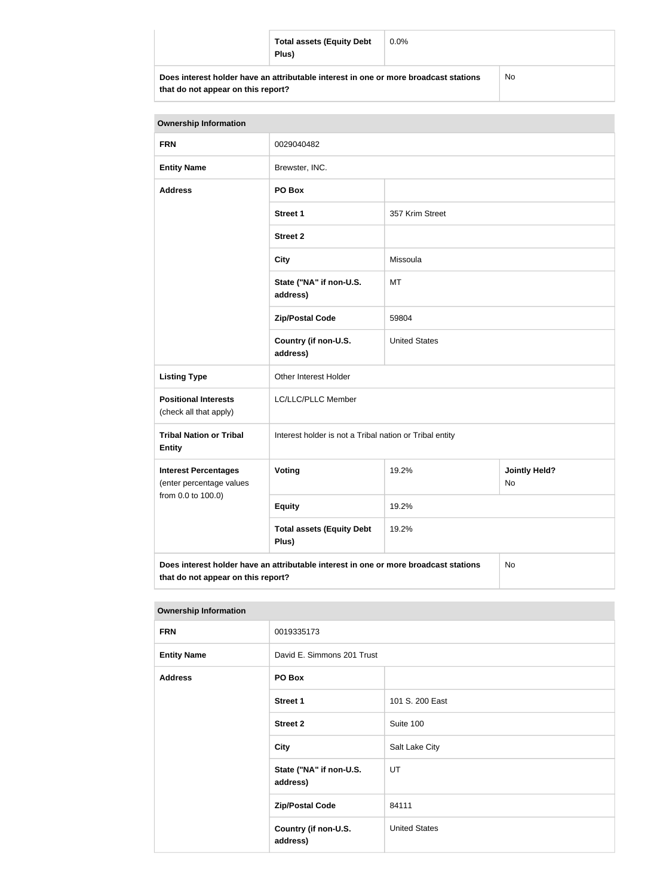|                                                                                      | <b>Total assets (Equity Debt</b><br>Plus) | $0.0\%$ |  |
|--------------------------------------------------------------------------------------|-------------------------------------------|---------|--|
| Does interest holder have an attributable interest in one or more broadcast stations |                                           | No      |  |

**that do not appear on this report?**

| <b>Ownership Information</b>                                                               |                                                         |                                     |  |  |
|--------------------------------------------------------------------------------------------|---------------------------------------------------------|-------------------------------------|--|--|
| <b>FRN</b>                                                                                 | 0029040482                                              |                                     |  |  |
| <b>Entity Name</b>                                                                         | Brewster, INC.                                          |                                     |  |  |
| <b>Address</b>                                                                             | PO Box                                                  |                                     |  |  |
|                                                                                            | <b>Street 1</b>                                         | 357 Krim Street                     |  |  |
|                                                                                            | <b>Street 2</b>                                         |                                     |  |  |
|                                                                                            | <b>City</b>                                             | Missoula                            |  |  |
|                                                                                            | State ("NA" if non-U.S.<br>address)                     | MT                                  |  |  |
|                                                                                            | <b>Zip/Postal Code</b>                                  | 59804                               |  |  |
|                                                                                            | Country (if non-U.S.<br>address)                        | <b>United States</b>                |  |  |
| <b>Listing Type</b>                                                                        | Other Interest Holder                                   |                                     |  |  |
| <b>Positional Interests</b><br>(check all that apply)                                      | LC/LLC/PLLC Member                                      |                                     |  |  |
| <b>Tribal Nation or Tribal</b><br><b>Entity</b>                                            | Interest holder is not a Tribal nation or Tribal entity |                                     |  |  |
| <b>Interest Percentages</b><br>(enter percentage values<br>from 0.0 to 100.0)              | Voting                                                  | 19.2%<br><b>Jointly Held?</b><br>No |  |  |
|                                                                                            | <b>Equity</b>                                           | 19.2%                               |  |  |
|                                                                                            | <b>Total assets (Equity Debt</b><br>Plus)               | 19.2%                               |  |  |
| Does interest holder have an attributable interest in one or more broadcast stations<br>No |                                                         |                                     |  |  |

**that do not appear on this report?**

| <b>Ownership Information</b> |                                     |                      |
|------------------------------|-------------------------------------|----------------------|
| <b>FRN</b>                   | 0019335173                          |                      |
| <b>Entity Name</b>           | David E. Simmons 201 Trust          |                      |
| <b>Address</b>               | PO Box                              |                      |
|                              | <b>Street 1</b>                     | 101 S. 200 East      |
|                              | <b>Street 2</b>                     | Suite 100            |
|                              | <b>City</b>                         | Salt Lake City       |
|                              | State ("NA" if non-U.S.<br>address) | UT                   |
|                              | <b>Zip/Postal Code</b>              | 84111                |
|                              | Country (if non-U.S.<br>address)    | <b>United States</b> |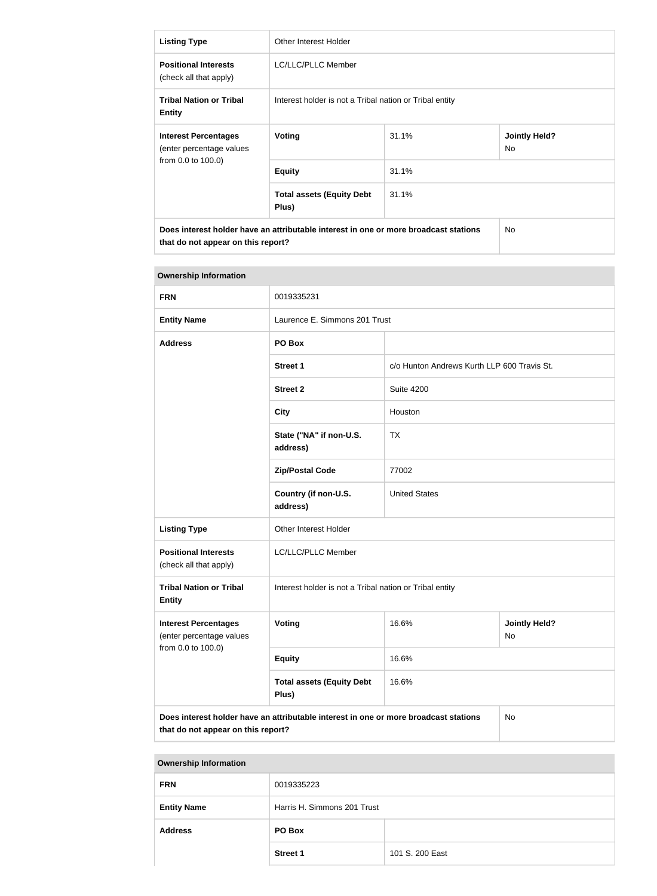| <b>Listing Type</b>                                                                                                        | Other Interest Holder                                   |           |                             |
|----------------------------------------------------------------------------------------------------------------------------|---------------------------------------------------------|-----------|-----------------------------|
| <b>Positional Interests</b><br>(check all that apply)                                                                      | LC/LLC/PLLC Member                                      |           |                             |
| <b>Tribal Nation or Tribal</b><br><b>Entity</b>                                                                            | Interest holder is not a Tribal nation or Tribal entity |           |                             |
| <b>Interest Percentages</b><br>(enter percentage values<br>from 0.0 to 100.0)                                              | Voting                                                  | 31.1%     | <b>Jointly Held?</b><br>No. |
|                                                                                                                            | <b>Equity</b>                                           | 31.1%     |                             |
|                                                                                                                            | <b>Total assets (Equity Debt</b><br>Plus)               | 31.1%     |                             |
| Does interest holder have an attributable interest in one or more broadcast stations<br>that do not appear on this report? |                                                         | <b>No</b> |                             |

| <b>Ownership Information</b>                                                                                                     |                                                         |                                             |                            |
|----------------------------------------------------------------------------------------------------------------------------------|---------------------------------------------------------|---------------------------------------------|----------------------------|
| <b>FRN</b>                                                                                                                       | 0019335231                                              |                                             |                            |
| <b>Entity Name</b>                                                                                                               | Laurence E. Simmons 201 Trust                           |                                             |                            |
| <b>Address</b>                                                                                                                   | PO Box                                                  |                                             |                            |
|                                                                                                                                  | <b>Street 1</b>                                         | c/o Hunton Andrews Kurth LLP 600 Travis St. |                            |
|                                                                                                                                  | <b>Street 2</b>                                         | <b>Suite 4200</b>                           |                            |
|                                                                                                                                  | <b>City</b>                                             | Houston                                     |                            |
|                                                                                                                                  | State ("NA" if non-U.S.<br>address)                     | <b>TX</b>                                   |                            |
|                                                                                                                                  | <b>Zip/Postal Code</b>                                  | 77002                                       |                            |
|                                                                                                                                  | Country (if non-U.S.<br>address)                        | <b>United States</b>                        |                            |
| <b>Listing Type</b>                                                                                                              | Other Interest Holder                                   |                                             |                            |
| <b>Positional Interests</b><br>(check all that apply)                                                                            | LC/LLC/PLLC Member                                      |                                             |                            |
| <b>Tribal Nation or Tribal</b><br><b>Entity</b>                                                                                  | Interest holder is not a Tribal nation or Tribal entity |                                             |                            |
| <b>Interest Percentages</b><br>(enter percentage values                                                                          | Voting                                                  | 16.6%                                       | <b>Jointly Held?</b><br>No |
| from 0.0 to 100.0)                                                                                                               | <b>Equity</b>                                           | 16.6%                                       |                            |
|                                                                                                                                  | <b>Total assets (Equity Debt</b><br>Plus)               | 16.6%                                       |                            |
| Does interest holder have an attributable interest in one or more broadcast stations<br>No<br>that do not appear on this report? |                                                         |                                             |                            |

| <b>Ownership Information</b> |                             |                 |
|------------------------------|-----------------------------|-----------------|
| <b>FRN</b>                   | 0019335223                  |                 |
| <b>Entity Name</b>           | Harris H. Simmons 201 Trust |                 |
| <b>Address</b>               | PO Box                      |                 |
|                              | <b>Street 1</b>             | 101 S. 200 East |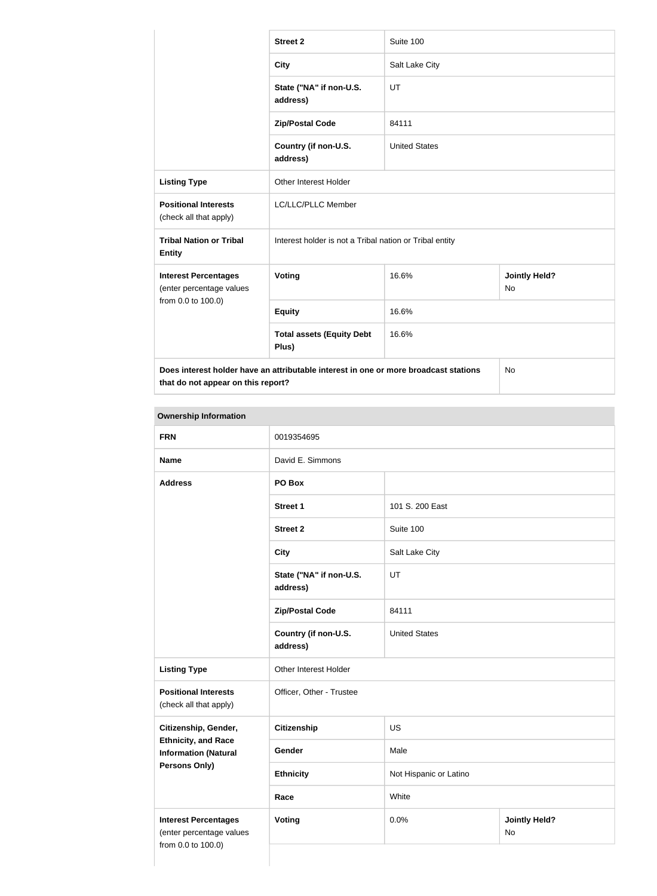|                                                                               | <b>Street 2</b>                                                                      | Suite 100            |                            |  |
|-------------------------------------------------------------------------------|--------------------------------------------------------------------------------------|----------------------|----------------------------|--|
|                                                                               | <b>City</b>                                                                          | Salt Lake City       |                            |  |
|                                                                               | State ("NA" if non-U.S.<br>address)                                                  | UT                   |                            |  |
|                                                                               | <b>Zip/Postal Code</b>                                                               | 84111                |                            |  |
|                                                                               | Country (if non-U.S.<br>address)                                                     | <b>United States</b> |                            |  |
| <b>Listing Type</b>                                                           | <b>Other Interest Holder</b>                                                         |                      |                            |  |
| <b>Positional Interests</b><br>(check all that apply)                         | LC/LLC/PLLC Member                                                                   |                      |                            |  |
| <b>Tribal Nation or Tribal</b><br><b>Entity</b>                               | Interest holder is not a Tribal nation or Tribal entity                              |                      |                            |  |
| <b>Interest Percentages</b><br>(enter percentage values<br>from 0.0 to 100.0) | Voting                                                                               | 16.6%                | <b>Jointly Held?</b><br>No |  |
|                                                                               | <b>Equity</b>                                                                        | 16.6%                |                            |  |
|                                                                               | <b>Total assets (Equity Debt</b><br>Plus)                                            | 16.6%                |                            |  |
| that do not appear on this report?                                            | Does interest holder have an attributable interest in one or more broadcast stations |                      | <b>No</b>                  |  |

# **Ownership Information**

| <b>FRN</b>                                                | 0019354695                          |                        |                            |
|-----------------------------------------------------------|-------------------------------------|------------------------|----------------------------|
| <b>Name</b>                                               | David E. Simmons                    |                        |                            |
| <b>Address</b>                                            | PO Box                              |                        |                            |
|                                                           | <b>Street 1</b>                     | 101 S. 200 East        |                            |
|                                                           | <b>Street 2</b>                     | Suite 100              |                            |
|                                                           | <b>City</b>                         | Salt Lake City         |                            |
|                                                           | State ("NA" if non-U.S.<br>address) | UT                     |                            |
|                                                           | <b>Zip/Postal Code</b>              | 84111                  |                            |
|                                                           | Country (if non-U.S.<br>address)    | <b>United States</b>   |                            |
| <b>Listing Type</b>                                       | Other Interest Holder               |                        |                            |
| <b>Positional Interests</b><br>(check all that apply)     | Officer, Other - Trustee            |                        |                            |
| Citizenship, Gender,                                      | <b>Citizenship</b>                  | <b>US</b>              |                            |
| <b>Ethnicity, and Race</b><br><b>Information (Natural</b> | Gender                              | Male                   |                            |
| <b>Persons Only)</b>                                      | <b>Ethnicity</b>                    | Not Hispanic or Latino |                            |
|                                                           | Race                                | White                  |                            |
| <b>Interest Percentages</b><br>(enter percentage values   | <b>Voting</b>                       | 0.0%                   | <b>Jointly Held?</b><br>No |
| from 0.0 to 100.0)                                        |                                     |                        |                            |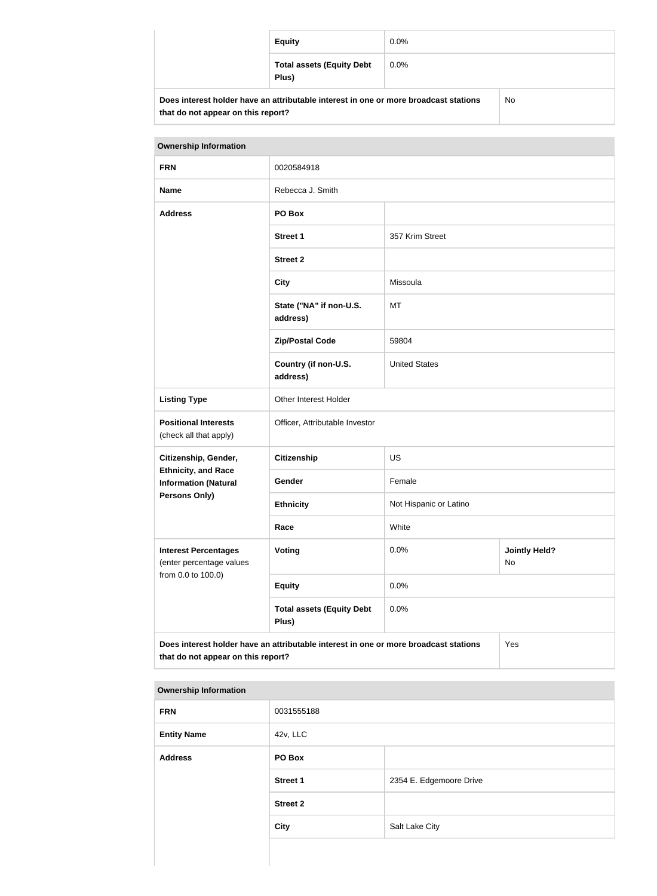| <b>Equity</b>                                                                        | $0.0\%$ |    |
|--------------------------------------------------------------------------------------|---------|----|
| <b>Total assets (Equity Debt</b><br>Plus)                                            | $0.0\%$ |    |
| Does interest holder have an attributable interest in one or more broadcast stations |         | No |

| <b>Ownership Information</b>                                                                                                      |                                           |                        |                            |
|-----------------------------------------------------------------------------------------------------------------------------------|-------------------------------------------|------------------------|----------------------------|
| <b>FRN</b>                                                                                                                        | 0020584918                                |                        |                            |
| <b>Name</b>                                                                                                                       | Rebecca J. Smith                          |                        |                            |
| <b>Address</b>                                                                                                                    | PO Box                                    |                        |                            |
|                                                                                                                                   | <b>Street 1</b>                           | 357 Krim Street        |                            |
|                                                                                                                                   | <b>Street 2</b>                           |                        |                            |
|                                                                                                                                   | <b>City</b>                               | Missoula               |                            |
|                                                                                                                                   | State ("NA" if non-U.S.<br>address)       | MT                     |                            |
|                                                                                                                                   | <b>Zip/Postal Code</b>                    | 59804                  |                            |
|                                                                                                                                   | Country (if non-U.S.<br>address)          | <b>United States</b>   |                            |
| <b>Listing Type</b>                                                                                                               | Other Interest Holder                     |                        |                            |
| <b>Positional Interests</b><br>(check all that apply)                                                                             | Officer, Attributable Investor            |                        |                            |
| Citizenship, Gender,                                                                                                              | <b>Citizenship</b>                        | <b>US</b>              |                            |
| <b>Ethnicity, and Race</b><br><b>Information (Natural</b>                                                                         | Gender                                    | Female                 |                            |
| Persons Only)                                                                                                                     | <b>Ethnicity</b>                          | Not Hispanic or Latino |                            |
|                                                                                                                                   | Race                                      | White                  |                            |
| <b>Interest Percentages</b><br>(enter percentage values<br>from 0.0 to 100.0)                                                     | Voting                                    | 0.0%                   | <b>Jointly Held?</b><br>No |
|                                                                                                                                   | <b>Equity</b>                             | 0.0%                   |                            |
|                                                                                                                                   | <b>Total assets (Equity Debt</b><br>Plus) | 0.0%                   |                            |
| Does interest holder have an attributable interest in one or more broadcast stations<br>Yes<br>that do not appear on this report? |                                           |                        |                            |

#### **Ownership Information**

**that do not appear on this report?**

| <b>FRN</b>         | 0031555188      |                         |
|--------------------|-----------------|-------------------------|
| <b>Entity Name</b> | 42v, LLC        |                         |
| <b>Address</b>     | PO Box          |                         |
|                    | <b>Street 1</b> | 2354 E. Edgemoore Drive |
|                    | <b>Street 2</b> |                         |
|                    | City            | Salt Lake City          |
|                    |                 |                         |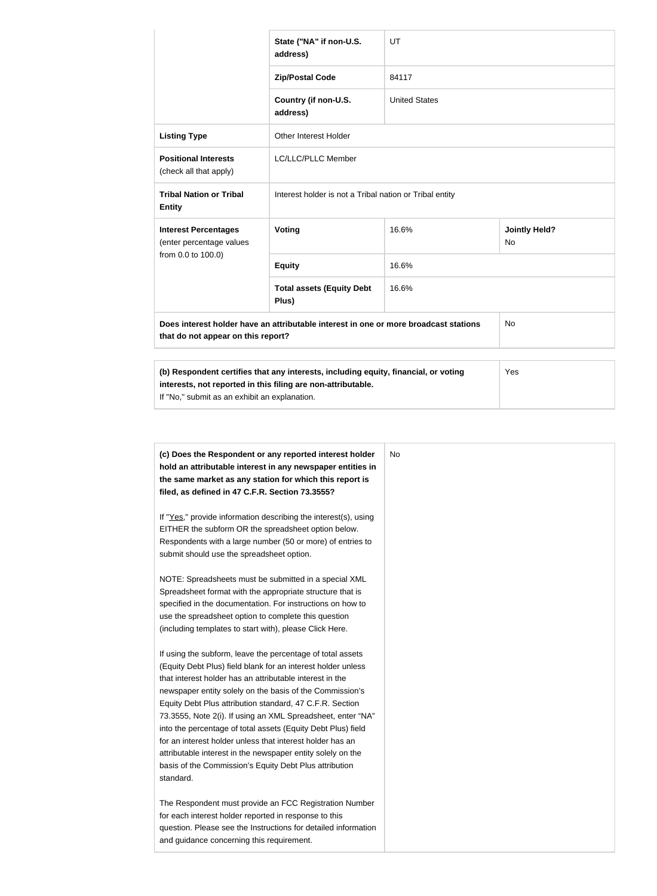|                                                         | State ("NA" if non-U.S.<br>address)                                                                                                                 | UT                   |                             |
|---------------------------------------------------------|-----------------------------------------------------------------------------------------------------------------------------------------------------|----------------------|-----------------------------|
|                                                         | <b>Zip/Postal Code</b>                                                                                                                              | 84117                |                             |
|                                                         | Country (if non-U.S.<br>address)                                                                                                                    | <b>United States</b> |                             |
| <b>Listing Type</b>                                     | Other Interest Holder                                                                                                                               |                      |                             |
| <b>Positional Interests</b><br>(check all that apply)   | <b>LC/LLC/PLLC Member</b>                                                                                                                           |                      |                             |
| <b>Tribal Nation or Tribal</b><br><b>Entity</b>         | Interest holder is not a Tribal nation or Tribal entity                                                                                             |                      |                             |
| <b>Interest Percentages</b><br>(enter percentage values | Voting                                                                                                                                              | 16.6%                | <b>Jointly Held?</b><br>No. |
| from 0.0 to 100.0)                                      | <b>Equity</b>                                                                                                                                       | 16.6%                |                             |
|                                                         | <b>Total assets (Equity Debt</b><br>Plus)                                                                                                           | 16.6%                |                             |
| that do not appear on this report?                      | Does interest holder have an attributable interest in one or more broadcast stations                                                                |                      | No                          |
|                                                         |                                                                                                                                                     |                      |                             |
| If "No," submit as an exhibit an explanation.           | (b) Respondent certifies that any interests, including equity, financial, or voting<br>interests, not reported in this filing are non-attributable. |                      | Yes                         |

| (c) Does the Respondent or any reported interest holder<br>hold an attributable interest in any newspaper entities in | No |
|-----------------------------------------------------------------------------------------------------------------------|----|
| the same market as any station for which this report is                                                               |    |
| filed, as defined in 47 C.F.R. Section 73.3555?                                                                       |    |
|                                                                                                                       |    |
| If "Yes," provide information describing the interest(s), using                                                       |    |
| EITHER the subform OR the spreadsheet option below.                                                                   |    |
| Respondents with a large number (50 or more) of entries to                                                            |    |
| submit should use the spreadsheet option.                                                                             |    |
|                                                                                                                       |    |
| NOTE: Spreadsheets must be submitted in a special XML                                                                 |    |
| Spreadsheet format with the appropriate structure that is                                                             |    |
| specified in the documentation. For instructions on how to                                                            |    |
| use the spreadsheet option to complete this question                                                                  |    |
| (including templates to start with), please Click Here.                                                               |    |
| If using the subform, leave the percentage of total assets                                                            |    |
| (Equity Debt Plus) field blank for an interest holder unless                                                          |    |
| that interest holder has an attributable interest in the                                                              |    |
| newspaper entity solely on the basis of the Commission's                                                              |    |
| Equity Debt Plus attribution standard, 47 C.F.R. Section                                                              |    |
| 73.3555, Note 2(i). If using an XML Spreadsheet, enter "NA"                                                           |    |
| into the percentage of total assets (Equity Debt Plus) field                                                          |    |
| for an interest holder unless that interest holder has an                                                             |    |
| attributable interest in the newspaper entity solely on the                                                           |    |
| basis of the Commission's Equity Debt Plus attribution                                                                |    |
| standard.                                                                                                             |    |
|                                                                                                                       |    |
| The Respondent must provide an FCC Registration Number                                                                |    |
| for each interest holder reported in response to this                                                                 |    |
| question. Please see the Instructions for detailed information                                                        |    |
| and guidance concerning this requirement.                                                                             |    |